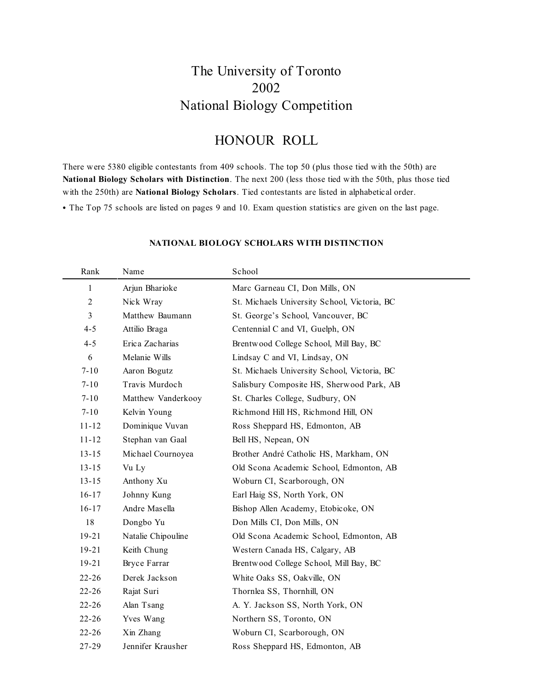## The University of Toronto 2002 National Biology Competition

### HONOUR ROLL

There were 5380 eligible contestants from 409 schools. The top 50 (plus those tied with the 50th) are **National Biology Scholars with Distinction**. The next 200 (less those tied with the 50th, plus those tied with the 250th) are **National Biology Scholars**. Tied contestants are listed in alphabetical order.

• The Top 75 schools are listed on pages 9 and 10. Exam question statistics are given on the last page.

| Rank             | Name               | School                                       |
|------------------|--------------------|----------------------------------------------|
| $\mathbf{1}$     | Arjun Bharioke     | Marc Garneau CI, Don Mills, ON               |
| $\boldsymbol{2}$ | Nick Wray          | St. Michaels University School, Victoria, BC |
| $\mathfrak{Z}$   | Matthew Baumann    | St. George's School, Vancouver, BC           |
| $4 - 5$          | Attilio Braga      | Centennial C and VI, Guelph, ON              |
| $4 - 5$          | Erica Zacharias    | Brentwood College School, Mill Bay, BC       |
| 6                | Melanie Wills      | Lindsay C and VI, Lindsay, ON                |
| $7 - 10$         | Aaron Bogutz       | St. Michaels University School, Victoria, BC |
| $7 - 10$         | Travis Murdoch     | Salisbury Composite HS, Sherwood Park, AB    |
| $7 - 10$         | Matthew Vanderkooy | St. Charles College, Sudbury, ON             |
| $7 - 10$         | Kelvin Young       | Richmond Hill HS, Richmond Hill, ON          |
| $11 - 12$        | Dominique Vuvan    | Ross Sheppard HS, Edmonton, AB               |
| $11 - 12$        | Stephan van Gaal   | Bell HS, Nepean, ON                          |
| $13 - 15$        | Michael Cournoyea  | Brother André Catholic HS, Markham, ON       |
| $13 - 15$        | Vu Ly              | Old Scona Academic School, Edmonton, AB      |
| $13 - 15$        | Anthony Xu         | Woburn CI, Scarborough, ON                   |
| $16 - 17$        | Johnny Kung        | Earl Haig SS, North York, ON                 |
| $16 - 17$        | Andre Masella      | Bishop Allen Academy, Etobicoke, ON          |
| $18\,$           | Dongbo Yu          | Don Mills CI, Don Mills, ON                  |
| $19 - 21$        | Natalie Chipouline | Old Scona Academic School, Edmonton, AB      |
| $19 - 21$        | Keith Chung        | Western Canada HS, Calgary, AB               |
| $19 - 21$        | Bryce Farrar       | Brentwood College School, Mill Bay, BC       |
| $22 - 26$        | Derek Jackson      | White Oaks SS, Oakville, ON                  |
| $22 - 26$        | Rajat Suri         | Thornlea SS, Thornhill, ON                   |
| $22 - 26$        | Alan Tsang         | A. Y. Jackson SS, North York, ON             |
| $22 - 26$        | Yves Wang          | Northern SS, Toronto, ON                     |
| $22 - 26$        | Xin Zhang          | Woburn CI, Scarborough, ON                   |
| 27-29            | Jennifer Krausher  | Ross Sheppard HS, Edmonton, AB               |

#### **NATIONAL BIOLOGY SCHOLARS WITH DISTINCTION**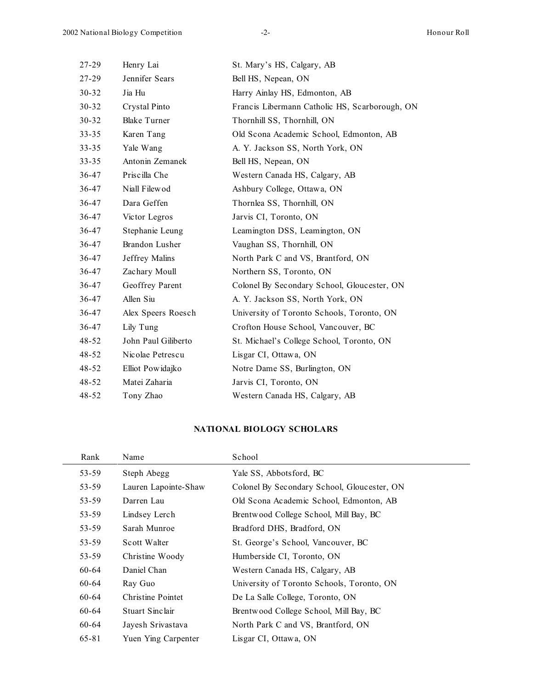| Henry Lai           | St. Mary's HS, Calgary, AB                     |
|---------------------|------------------------------------------------|
| Jennifer Sears      | Bell HS, Nepean, ON                            |
| Jia Hu              | Harry Ainlay HS, Edmonton, AB                  |
| Crystal Pinto       | Francis Libermann Catholic HS, Scarborough, ON |
| <b>Blake Turner</b> | Thornhill SS, Thornhill, ON                    |
| Karen Tang          | Old Scona Academic School, Edmonton, AB        |
| Yale Wang           | A. Y. Jackson SS, North York, ON               |
| Antonin Zemanek     | Bell HS, Nepean, ON                            |
| Priscilla Che       | Western Canada HS, Calgary, AB                 |
| Niall Filewod       | Ashbury College, Ottawa, ON                    |
| Dara Geffen         | Thornlea SS, Thornhill, ON                     |
| Victor Legros       | Jarvis CI, Toronto, ON                         |
| Stephanie Leung     | Leamington DSS, Leamington, ON                 |
| Brandon Lusher      | Vaughan SS, Thornhill, ON                      |
| Jeffrey Malins      | North Park C and VS, Brantford, ON             |
| Zachary Moull       | Northern SS, Toronto, ON                       |
| Geoffrey Parent     | Colonel By Secondary School, Gloucester, ON    |
| Allen Siu           | A. Y. Jackson SS, North York, ON               |
| Alex Speers Roesch  | University of Toronto Schools, Toronto, ON     |
| Lily Tung           | Crofton House School, Vancouver, BC            |
| John Paul Giliberto | St. Michael's College School, Toronto, ON      |
| Nicolae Petrescu    | Lisgar CI, Ottawa, ON                          |
| Elliot Powidajko    | Notre Dame SS, Burlington, ON                  |
| Matei Zaharia       | Jarvis CI, Toronto, ON                         |
| Tony Zhao           | Western Canada HS, Calgary, AB                 |
|                     |                                                |

#### **NATIONAL BIOLOGY SCHOLARS**

| Rank      | Name                     | School                                      |
|-----------|--------------------------|---------------------------------------------|
| 53-59     | Steph Abegg              | Yale SS, Abbotsford, BC                     |
| 53-59     | Lauren Lapointe-Shaw     | Colonel By Secondary School, Gloucester, ON |
| 53-59     | Darren Lau               | Old Scona Academic School, Edmonton, AB     |
| 53-59     | Lindsey Lerch            | Brentwood College School, Mill Bay, BC      |
| 53-59     | Sarah Munroe             | Bradford DHS, Bradford, ON                  |
| 53-59     | Scott Walter             | St. George's School, Vancouver, BC          |
| 53-59     | Christine Woody          | Humberside CI, Toronto, ON                  |
| $60 - 64$ | Daniel Chan              | Western Canada HS, Calgary, AB              |
| 60-64     | Ray Guo                  | University of Toronto Schools, Toronto, ON  |
| 60-64     | <b>Christine Pointet</b> | De La Salle College, Toronto, ON            |
| $60 - 64$ | <b>Stuart Sinclair</b>   | Brentwood College School, Mill Bay, BC      |
| 60-64     | Jayesh Srivastava        | North Park C and VS, Brantford, ON          |
| 65-81     | Yuen Ying Carpenter      | Lisgar CI, Ottawa, ON                       |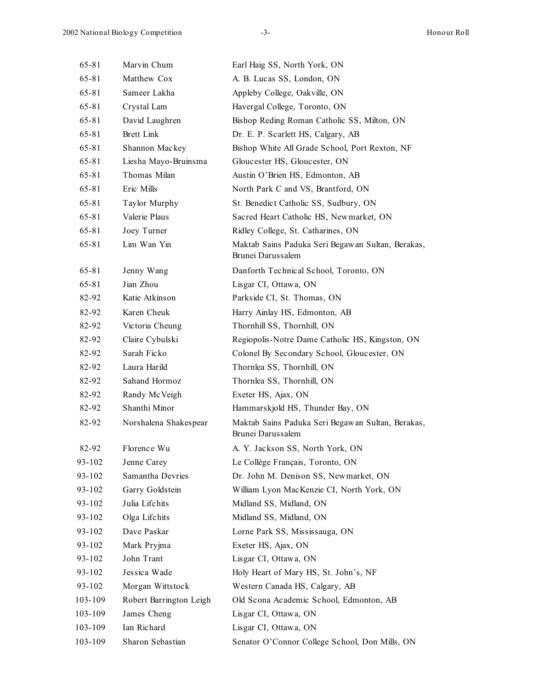| 65-81     | Marvin Chum             | Earl Haig SS, North York, ON                                           |
|-----------|-------------------------|------------------------------------------------------------------------|
| 65-81     | Matthew Cox             | A. B. Lucas SS, London, ON                                             |
| $65 - 81$ | Sameer Lakha            | Appleby College, Oakville, ON                                          |
| $65 - 81$ | Crystal Lam             | Havergal College, Toronto, ON                                          |
| $65 - 81$ | David Laughren          | Bishop Reding Roman Catholic SS, Milton, ON                            |
| 65-81     | <b>Brett Link</b>       | Dr. E. P. Scarlett HS, Calgary, AB                                     |
| 65-81     | Shannon Mackey          | Bishop White All Grade School, Port Rexton, NF                         |
| $65 - 81$ | Liesha Mayo-Bruinsma    | Gloucester HS, Gloucester, ON                                          |
| 65-81     | Thomas Milan            | Austin O'Brien HS, Edmonton, AB                                        |
| 65-81     | Eric Mills              | North Park C and VS, Brantford, ON                                     |
| $65 - 81$ | Taylor Murphy           | St. Benedict Catholic SS, Sudbury, ON                                  |
| 65-81     | Valerie Plaus           | Sacred Heart Catholic HS, Newmarket, ON                                |
| 65-81     | Joey Turner             | Ridley College, St. Catharines, ON                                     |
| $65 - 81$ | Lim Wan Yin             | Maktab Sains Paduka Seri Begawan Sultan, Berakas,<br>Brunei Darussalem |
| 65-81     | Jenny Wang              | Danforth Technical School, Toronto, ON                                 |
| 65-81     | Jian Zhou               | Lisgar CI, Ottawa, ON                                                  |
| 82-92     | Katie Atkinson          | Parkside CI, St. Thomas, ON                                            |
| 82-92     | Karen Cheuk             | Harry Ainlay HS, Edmonton, AB                                          |
| 82-92     | Victoria Cheung         | Thornhill SS, Thornhill, ON                                            |
| 82-92     | Claire Cybulski         | Regiopolis-Notre Dame Catholic HS, Kingston, ON                        |
| 82-92     | Sarah Ficko             | Colonel By Secondary School, Gloucester, ON                            |
| 82-92     | Laura Harild            | Thornlea SS, Thornhill, ON                                             |
| 82-92     | Sahand Hormoz           | Thornlea SS, Thornhill, ON                                             |
| 82-92     | Randy McVeigh           | Exeter HS, Ajax, ON                                                    |
| 82-92     | Shanthi Minor           | Hammarskjold HS, Thunder Bay, ON                                       |
| 82-92     | Norshalena Shakespear   | Maktab Sains Paduka Seri Begawan Sultan, Berakas,<br>Brunei Darussalem |
| 82-92     | Florence Wu             | A. Y. Jackson SS, North York, ON                                       |
| 93-102    | Jenne Carey             | Le Collège Français, Toronto, ON                                       |
| 93-102    | Samantha Devries        | Dr. John M. Denison SS, Newmarket, ON                                  |
| 93-102    | Garry Goldstein         | William Lyon MacKenzie CI, North York, ON                              |
| 93-102    | Julia Lifchits          | Midland SS, Midland, ON                                                |
| 93-102    | Olga Lifchits           | Midland SS, Midland, ON                                                |
| 93-102    | Dave Paskar             | Lorne Park SS, Mississauga, ON                                         |
| 93-102    | Mark Pryjma             | Exeter HS, Ajax, ON                                                    |
| 93-102    | John Trant              | Lisgar CI, Ottawa, ON                                                  |
| 93-102    | Jessica Wade            | Holy Heart of Mary HS, St. John's, NF                                  |
| 93-102    | Morgan Wittstock        | Western Canada HS, Calgary, AB                                         |
| 103-109   | Robert Barrington Leigh | Old Scona Academic School, Edmonton, AB                                |
| 103-109   | James Cheng             | Lisgar CI, Ottawa, ON                                                  |
| 103-109   | Ian Richard             | Lisgar CI, Ottawa, ON                                                  |
| 103-109   | Sharon Sebastian        | Senator O'Connor College School, Don Mills, ON                         |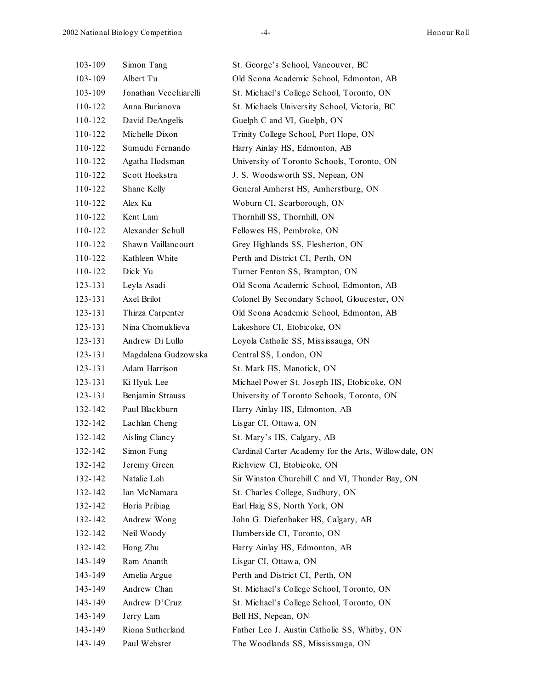| 103-109 | Simon Tang            | St. George's School, Vancouver, BC                   |
|---------|-----------------------|------------------------------------------------------|
| 103-109 | Albert Tu             | Old Scona Academic School, Edmonton, AB              |
| 103-109 | Jonathan Vecchiarelli | St. Michael's College School, Toronto, ON            |
| 110-122 | Anna Burianova        | St. Michaels University School, Victoria, BC         |
| 110-122 | David DeAngelis       | Guelph C and VI, Guelph, ON                          |
| 110-122 | Michelle Dixon        | Trinity College School, Port Hope, ON                |
| 110-122 | Sumudu Fernando       | Harry Ainlay HS, Edmonton, AB                        |
| 110-122 | Agatha Hodsman        | University of Toronto Schools, Toronto, ON           |
| 110-122 | Scott Hoekstra        | J. S. Woodsworth SS, Nepean, ON                      |
| 110-122 | Shane Kelly           | General Amherst HS, Amherstburg, ON                  |
| 110-122 | Alex Ku               | Woburn CI, Scarborough, ON                           |
| 110-122 | Kent Lam              | Thornhill SS, Thornhill, ON                          |
| 110-122 | Alexander Schull      | Fellowes HS, Pembroke, ON                            |
| 110-122 | Shawn Vaillancourt    | Grey Highlands SS, Flesherton, ON                    |
| 110-122 | Kathleen White        | Perth and District CI, Perth, ON                     |
| 110-122 | Dick Yu               | Turner Fenton SS, Brampton, ON                       |
| 123-131 | Leyla Asadi           | Old Scona Academic School, Edmonton, AB              |
| 123-131 | Axel Brilot           | Colonel By Secondary School, Gloucester, ON          |
| 123-131 | Thirza Carpenter      | Old Scona Academic School, Edmonton, AB              |
| 123-131 | Nina Chomuklieva      | Lakeshore CI, Etobicoke, ON                          |
| 123-131 | Andrew Di Lullo       | Loyola Catholic SS, Mississauga, ON                  |
| 123-131 | Magdalena Gudzowska   | Central SS, London, ON                               |
| 123-131 | Adam Harrison         | St. Mark HS, Manotick, ON                            |
| 123-131 | Ki Hyuk Lee           | Michael Power St. Joseph HS, Etobicoke, ON           |
| 123-131 | Benjamin Strauss      | University of Toronto Schools, Toronto, ON           |
| 132-142 | Paul Blackburn        | Harry Ainlay HS, Edmonton, AB                        |
| 132-142 | Lachlan Cheng         | Lisgar CI, Ottawa, ON                                |
| 132-142 | Aisling Clancy        | St. Mary's HS, Calgary, AB                           |
| 132-142 | Simon Fung            | Cardinal Carter Academy for the Arts, Willowdale, ON |
| 132-142 | Jeremy Green          | Richview CI, Etobicoke, ON                           |
| 132-142 | Natalie Loh           | Sir Winston Churchill C and VI, Thunder Bay, ON      |
| 132-142 | Ian McNamara          | St. Charles College, Sudbury, ON                     |
| 132-142 | Horia Pribiag         | Earl Haig SS, North York, ON                         |
| 132-142 | Andrew Wong           | John G. Diefenbaker HS, Calgary, AB                  |
| 132-142 | Neil Woody            | Humberside CI, Toronto, ON                           |
| 132-142 | Hong Zhu              | Harry Ainlay HS, Edmonton, AB                        |
| 143-149 | Ram Ananth            | Lisgar CI, Ottawa, ON                                |
| 143-149 | Amelia Argue          | Perth and District CI, Perth, ON                     |
| 143-149 | Andrew Chan           | St. Michael's College School, Toronto, ON            |
| 143-149 | Andrew D'Cruz         | St. Michael's College School, Toronto, ON            |
| 143-149 | Jerry Lam             | Bell HS, Nepean, ON                                  |
| 143-149 | Riona Sutherland      | Father Leo J. Austin Catholic SS, Whitby, ON         |
| 143-149 | Paul Webster          | The Woodlands SS, Mississauga, ON                    |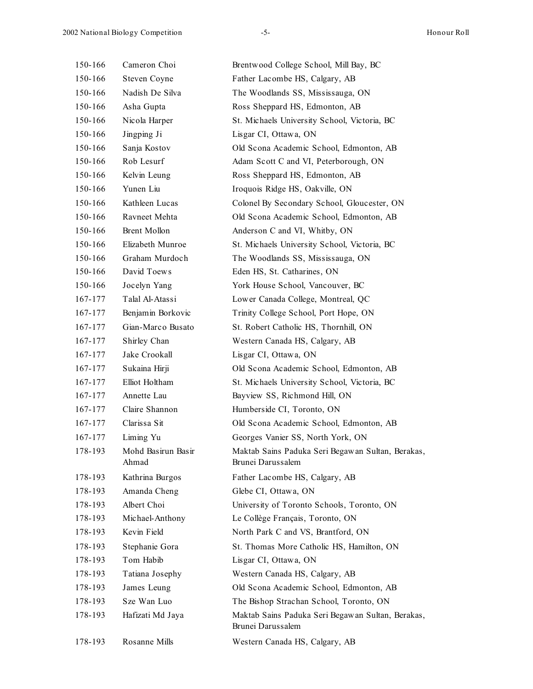| 150-166 | Cameron Choi                | Brentwood College School, Mill Bay, BC                                 |  |
|---------|-----------------------------|------------------------------------------------------------------------|--|
| 150-166 | Steven Coyne                | Father Lacombe HS, Calgary, AB                                         |  |
| 150-166 | Nadish De Silva             | The Woodlands SS, Mississauga, ON                                      |  |
| 150-166 | Asha Gupta                  | Ross Sheppard HS, Edmonton, AB                                         |  |
| 150-166 | Nicola Harper               | St. Michaels University School, Victoria, BC                           |  |
| 150-166 | Jingping Ji                 | Lisgar CI, Ottawa, ON                                                  |  |
| 150-166 | Sanja Kostov                | Old Scona Academic School, Edmonton, AB                                |  |
| 150-166 | Rob Lesurf                  | Adam Scott C and VI, Peterborough, ON                                  |  |
| 150-166 | Kelvin Leung                | Ross Sheppard HS, Edmonton, AB                                         |  |
| 150-166 | Yunen Liu                   | Iroquois Ridge HS, Oakville, ON                                        |  |
| 150-166 | Kathleen Lucas              | Colonel By Secondary School, Gloucester, ON                            |  |
| 150-166 | Ravneet Mehta               | Old Scona Academic School, Edmonton, AB                                |  |
| 150-166 | <b>Brent Mollon</b>         | Anderson C and VI, Whitby, ON                                          |  |
| 150-166 | Elizabeth Munroe            | St. Michaels University School, Victoria, BC                           |  |
| 150-166 | Graham Murdoch              | The Woodlands SS, Mississauga, ON                                      |  |
| 150-166 | David Toews                 | Eden HS, St. Catharines, ON                                            |  |
| 150-166 | Jocelyn Yang                | York House School, Vancouver, BC                                       |  |
| 167-177 | Talal Al-Atassi             | Lower Canada College, Montreal, QC                                     |  |
| 167-177 | Benjamin Borkovic           | Trinity College School, Port Hope, ON                                  |  |
| 167-177 | Gian-Marco Busato           | St. Robert Catholic HS, Thornhill, ON                                  |  |
| 167-177 | Shirley Chan                | Western Canada HS, Calgary, AB                                         |  |
| 167-177 | Jake Crookall               | Lisgar CI, Ottawa, ON                                                  |  |
| 167-177 | Sukaina Hirji               | Old Scona Academic School, Edmonton, AB                                |  |
| 167-177 | Elliot Holtham              | St. Michaels University School, Victoria, BC                           |  |
| 167-177 | Annette Lau                 | Bayview SS, Richmond Hill, ON                                          |  |
| 167-177 | Claire Shannon              | Humberside CI, Toronto, ON                                             |  |
| 167-177 | Clarissa Sit                | Old Scona Academic School, Edmonton, AB                                |  |
| 167-177 | Liming Yu                   | Georges Vanier SS, North York, ON                                      |  |
| 178-193 | Mohd Basirun Basir<br>Ahmad | Maktab Sains Paduka Seri Begawan Sultan, Berakas,<br>Brunei Darussalem |  |
| 178-193 | Kathrina Burgos             | Father Lacombe HS, Calgary, AB                                         |  |
| 178-193 | Amanda Cheng                | Glebe CI, Ottawa, ON                                                   |  |
| 178-193 | Albert Choi                 | University of Toronto Schools, Toronto, ON                             |  |
| 178-193 | Michael-Anthony             | Le Collège Français, Toronto, ON                                       |  |
| 178-193 | Kevin Field                 | North Park C and VS, Brantford, ON                                     |  |
| 178-193 | Stephanie Gora              | St. Thomas More Catholic HS, Hamilton, ON                              |  |
| 178-193 | Tom Habib                   | Lisgar CI, Ottawa, ON                                                  |  |
| 178-193 | Tatiana Josephy             | Western Canada HS, Calgary, AB                                         |  |
| 178-193 | James Leung                 | Old Scona Academic School, Edmonton, AB                                |  |
| 178-193 | Sze Wan Luo                 | The Bishop Strachan School, Toronto, ON                                |  |
| 178-193 | Hafizati Md Jaya            | Maktab Sains Paduka Seri Begawan Sultan, Berakas,<br>Brunei Darussalem |  |
| 178-193 | Rosanne Mills               | Western Canada HS, Calgary, AB                                         |  |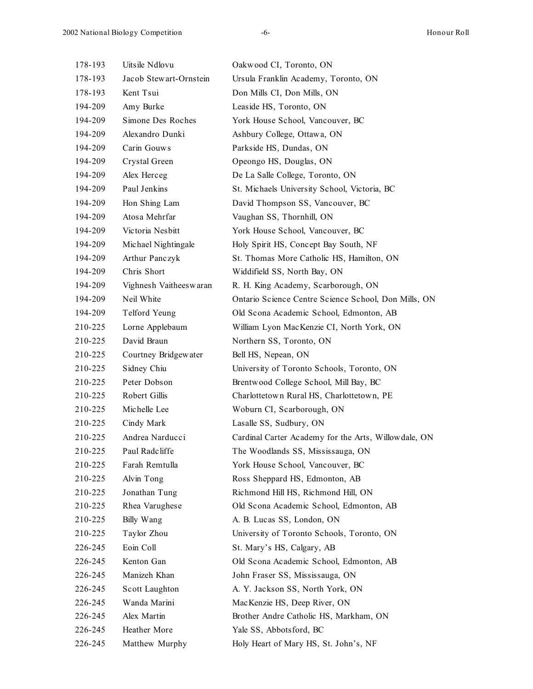| 178-193 | Uitsile Ndlovu         | Oakwood CI, Toronto, ON                              |  |
|---------|------------------------|------------------------------------------------------|--|
| 178-193 | Jacob Stewart-Ornstein | Ursula Franklin Academy, Toronto, ON                 |  |
| 178-193 | Kent Tsui              | Don Mills CI, Don Mills, ON                          |  |
| 194-209 | Amy Burke              | Leaside HS, Toronto, ON                              |  |
| 194-209 | Simone Des Roches      | York House School, Vancouver, BC                     |  |
| 194-209 | Alexandro Dunki        | Ashbury College, Ottawa, ON                          |  |
| 194-209 | Carin Gouws            | Parkside HS, Dundas, ON                              |  |
| 194-209 | Crystal Green          | Opeongo HS, Douglas, ON                              |  |
| 194-209 | Alex Herceg            | De La Salle College, Toronto, ON                     |  |
| 194-209 | Paul Jenkins           | St. Michaels University School, Victoria, BC         |  |
| 194-209 | Hon Shing Lam          | David Thompson SS, Vancouver, BC                     |  |
| 194-209 | Atosa Mehrfar          | Vaughan SS, Thornhill, ON                            |  |
| 194-209 | Victoria Nesbitt       | York House School, Vancouver, BC                     |  |
| 194-209 | Michael Nightingale    | Holy Spirit HS, Concept Bay South, NF                |  |
| 194-209 | Arthur Panczyk         | St. Thomas More Catholic HS, Hamilton, ON            |  |
| 194-209 | Chris Short            | Widdifield SS, North Bay, ON                         |  |
| 194-209 | Vighnesh Vaitheeswaran | R. H. King Academy, Scarborough, ON                  |  |
| 194-209 | Neil White             | Ontario Science Centre Science School, Don Mills, ON |  |
| 194-209 | Telford Yeung          | Old Scona Academic School, Edmonton, AB              |  |
| 210-225 | Lorne Applebaum        | William Lyon MacKenzie CI, North York, ON            |  |
| 210-225 | David Braun            | Northern SS, Toronto, ON                             |  |
| 210-225 | Courtney Bridgewater   | Bell HS, Nepean, ON                                  |  |
| 210-225 | Sidney Chiu            | University of Toronto Schools, Toronto, ON           |  |
| 210-225 | Peter Dobson           | Brentwood College School, Mill Bay, BC               |  |
| 210-225 | Robert Gillis          | Charlottetown Rural HS, Charlottetown, PE            |  |
| 210-225 | Michelle Lee           | Woburn CI, Scarborough, ON                           |  |
| 210-225 | Cindy Mark             | Lasalle SS, Sudbury, ON                              |  |
| 210-225 | Andrea Narducci        | Cardinal Carter Academy for the Arts, Willowdale, ON |  |
| 210-225 | Paul Radcliffe         | The Woodlands SS, Mississauga, ON                    |  |
| 210-225 | Farah Remtulla         | York House School, Vancouver, BC                     |  |
| 210-225 | Alvin Tong             | Ross Sheppard HS, Edmonton, AB                       |  |
| 210-225 | Jonathan Tung          | Richmond Hill HS, Richmond Hill, ON                  |  |
| 210-225 | Rhea Varughese         | Old Scona Academic School, Edmonton, AB              |  |
| 210-225 | Billy Wang             | A. B. Lucas SS, London, ON                           |  |
| 210-225 | Taylor Zhou            | University of Toronto Schools, Toronto, ON           |  |
| 226-245 | Eoin Coll              | St. Mary's HS, Calgary, AB                           |  |
| 226-245 | Kenton Gan             | Old Scona Academic School, Edmonton, AB              |  |
| 226-245 | Manizeh Khan           | John Fraser SS, Mississauga, ON                      |  |
| 226-245 | Scott Laughton         | A. Y. Jackson SS, North York, ON                     |  |
| 226-245 | Wanda Marini           | MacKenzie HS, Deep River, ON                         |  |
| 226-245 | Alex Martin            | Brother Andre Catholic HS, Markham, ON               |  |
| 226-245 | Heather More           | Yale SS, Abbotsford, BC                              |  |
| 226-245 | Matthew Murphy         | Holy Heart of Mary HS, St. John's, NF                |  |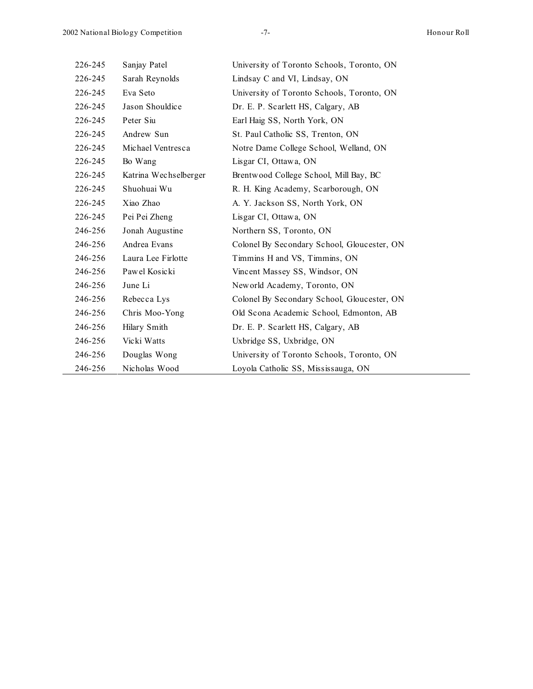| 226-245 | Sanjay Patel          | University of Toronto Schools, Toronto, ON  |
|---------|-----------------------|---------------------------------------------|
| 226-245 | Sarah Reynolds        | Lindsay C and VI, Lindsay, ON               |
| 226-245 | Eva Seto              | University of Toronto Schools, Toronto, ON  |
| 226-245 | Jason Shouldice       | Dr. E. P. Scarlett HS, Calgary, AB          |
| 226-245 | Peter Siu             | Earl Haig SS, North York, ON                |
| 226-245 | Andrew Sun            | St. Paul Catholic SS, Trenton, ON           |
| 226-245 | Michael Ventresca     | Notre Dame College School, Welland, ON      |
| 226-245 | Bo Wang               | Lisgar CI, Ottawa, ON                       |
| 226-245 | Katrina Wechselberger | Brentwood College School, Mill Bay, BC      |
| 226-245 | Shuohuai Wu           | R. H. King Academy, Scarborough, ON         |
| 226-245 | Xiao Zhao             | A. Y. Jackson SS, North York, ON            |
| 226-245 | Pei Pei Zheng         | Lisgar CI, Ottawa, ON                       |
| 246-256 | Jonah Augustine       | Northern SS, Toronto, ON                    |
| 246-256 | Andrea Evans          | Colonel By Secondary School, Gloucester, ON |
| 246-256 | Laura Lee Firlotte    | Timmins H and VS, Timmins, ON               |
| 246-256 | Pawel Kosicki         | Vincent Massey SS, Windsor, ON              |
| 246-256 | June Li               | New orld Academy, Toronto, ON               |
| 246-256 | Rebecca Lys           | Colonel By Secondary School, Gloucester, ON |
| 246-256 | Chris Moo-Yong        | Old Scona Academic School, Edmonton, AB     |
| 246-256 | Hilary Smith          | Dr. E. P. Scarlett HS, Calgary, AB          |
| 246-256 | Vicki Watts           | Uxbridge SS, Uxbridge, ON                   |
| 246-256 | Douglas Wong          | University of Toronto Schools, Toronto, ON  |
| 246-256 | Nicholas Wood         | Loyola Catholic SS, Mississauga, ON         |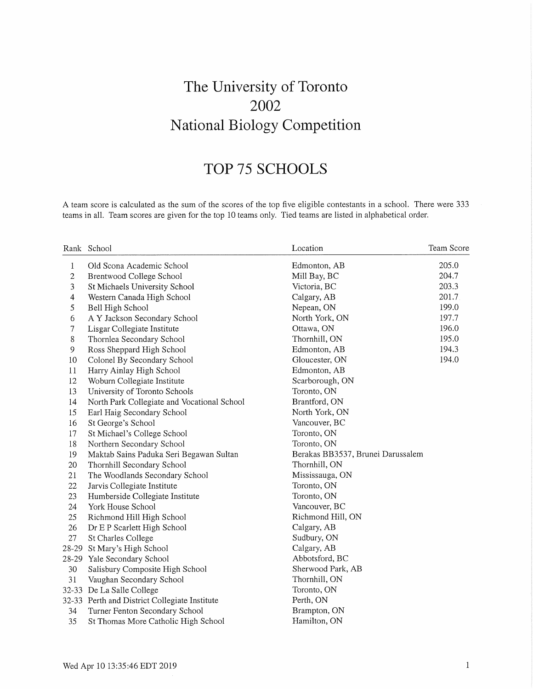# The University of Toronto 2002 National Biology Competition

# TOP 75 SCHOOLS

A team score is calculated as the sum of the scores of the top five eligible contestants in a school. There were 333 teams in all. Team scores are given for the top 10 teams only. Tied teams are listed in alphabetical order.

|                | Rank School                                   | Location                          | Team Score |
|----------------|-----------------------------------------------|-----------------------------------|------------|
| 1              | Old Scona Academic School                     | Edmonton, AB                      | 205.0      |
| $\overline{c}$ | Brentwood College School                      | Mill Bay, BC                      | 204.7      |
| 3              | St Michaels University School                 | Victoria, BC                      | 203.3      |
| 4              | Western Canada High School                    | Calgary, AB                       | 201.7      |
| 5              | Bell High School                              | Nepean, ON                        | 199.0      |
| 6              | A Y Jackson Secondary School                  | North York, ON                    | 197.7      |
| 7              | Lisgar Collegiate Institute                   | Ottawa, ON                        | 196.0      |
| $8\,$          | Thornlea Secondary School                     | Thornhill, ON                     | 195.0      |
| 9              | Ross Sheppard High School                     | Edmonton, AB                      | 194.3      |
| 10             | Colonel By Secondary School                   | Gloucester, ON                    | 194.0      |
| 11             | Harry Ainlay High School                      | Edmonton, AB                      |            |
| 12             | Woburn Collegiate Institute                   | Scarborough, ON                   |            |
| 13             | University of Toronto Schools                 | Toronto, ON                       |            |
| 14             | North Park Collegiate and Vocational School   | Brantford, ON                     |            |
| 15             | Earl Haig Secondary School                    | North York, ON                    |            |
| 16             | St George's School                            | Vancouver, BC                     |            |
| 17             | St Michael's College School                   | Toronto, ON                       |            |
| 18             | Northern Secondary School                     | Toronto, ON                       |            |
| 19             | Maktab Sains Paduka Seri Begawan Sultan       | Berakas BB3537, Brunei Darussalem |            |
| 20             | Thornhill Secondary School                    | Thornhill, ON                     |            |
| 21             | The Woodlands Secondary School                | Mississauga, ON                   |            |
| 22             | Jarvis Collegiate Institute                   | Toronto, ON                       |            |
| 23             | Humberside Collegiate Institute               | Toronto, ON                       |            |
| 24             | York House School                             | Vancouver, BC                     |            |
| 25             | Richmond Hill High School                     | Richmond Hill, ON                 |            |
| 26             | Dr E P Scarlett High School                   | Calgary, AB                       |            |
| 27             | St Charles College                            | Sudbury, ON                       |            |
| 28-29          | St Mary's High School                         | Calgary, AB                       |            |
| 28-29          | Yale Secondary School                         | Abbotsford, BC                    |            |
| 30             | Salisbury Composite High School               | Sherwood Park, AB                 |            |
| 31             | Vaughan Secondary School                      | Thornhill, ON                     |            |
|                | 32-33 De La Salle College                     | Toronto, ON                       |            |
|                | 32-33 Perth and District Collegiate Institute | Perth, ON                         |            |
| 34             | Turner Fenton Secondary School                | Brampton, ON                      |            |
| 35             | St Thomas More Catholic High School           | Hamilton, ON                      |            |